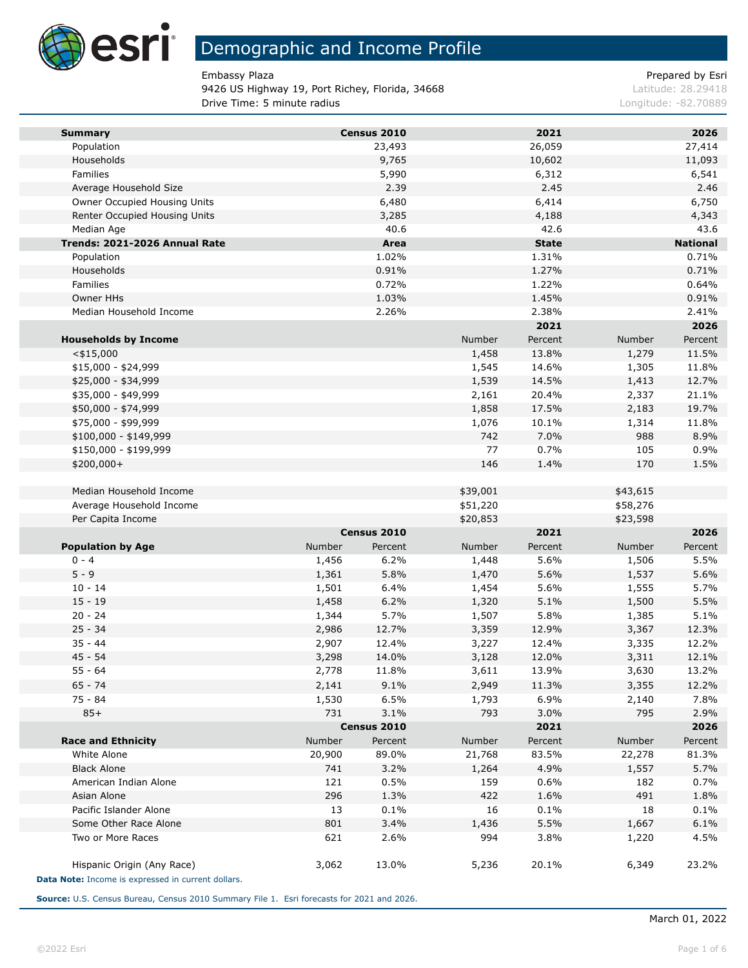

9426 US Highway 19, Port Richey, Florida, 34668 Latitude: 28.29418 **Drive Time: 5 minute radius Congression Congress 2008/9** Longitude: -82.70889

Embassy Plaza **Prepared by Esri** Prepared by Esri

| <b>Summary</b>                                     |        | Census 2010 |                      | 2021         |                      | 2026            |
|----------------------------------------------------|--------|-------------|----------------------|--------------|----------------------|-----------------|
| Population                                         |        | 23,493      |                      | 26,059       |                      | 27,414          |
| Households                                         |        | 9,765       |                      | 10,602       |                      | 11,093          |
| Families                                           |        | 5,990       |                      | 6,312        |                      | 6,541           |
| Average Household Size                             |        | 2.39        |                      | 2.45         |                      | 2.46            |
| Owner Occupied Housing Units                       |        | 6,480       |                      | 6,414        |                      | 6,750           |
| Renter Occupied Housing Units                      |        | 3,285       |                      | 4,188        |                      | 4,343           |
| Median Age                                         |        | 40.6        |                      | 42.6         |                      | 43.6            |
| Trends: 2021-2026 Annual Rate                      |        | Area        |                      | <b>State</b> |                      | <b>National</b> |
| Population                                         |        | 1.02%       |                      | 1.31%        |                      | 0.71%           |
| Households                                         |        | 0.91%       |                      | 1.27%        |                      | 0.71%           |
| Families                                           |        | 0.72%       |                      | 1.22%        |                      | 0.64%           |
| Owner HHs                                          |        | 1.03%       |                      | 1.45%        |                      | 0.91%           |
| Median Household Income                            |        | 2.26%       |                      | 2.38%        |                      | 2.41%           |
|                                                    |        |             |                      | 2021         |                      | 2026            |
| <b>Households by Income</b>                        |        |             | Number               | Percent      | Number               | Percent         |
| $<$ \$15,000                                       |        |             | 1,458                | 13.8%        | 1,279                | 11.5%           |
| $$15,000 - $24,999$                                |        |             | 1,545                | 14.6%        | 1,305                | 11.8%           |
| \$25,000 - \$34,999                                |        |             | 1,539                | 14.5%        | 1,413                | 12.7%           |
| \$35,000 - \$49,999                                |        |             | 2,161                | 20.4%        | 2,337                | 21.1%           |
| \$50,000 - \$74,999                                |        |             | 1,858                | 17.5%        | 2,183                | 19.7%           |
| \$75,000 - \$99,999                                |        |             | 1,076                | 10.1%        | 1,314                | 11.8%           |
| $$100,000 - $149,999$                              |        |             | 742                  | 7.0%         | 988                  | 8.9%            |
| \$150,000 - \$199,999                              |        |             | 77                   | 0.7%         | 105                  | 0.9%            |
| \$200,000+                                         |        |             | 146                  | 1.4%         | 170                  | 1.5%            |
| Median Household Income                            |        |             |                      |              |                      |                 |
| Average Household Income                           |        |             | \$39,001<br>\$51,220 |              | \$43,615<br>\$58,276 |                 |
| Per Capita Income                                  |        |             | \$20,853             |              | \$23,598             |                 |
|                                                    |        | Census 2010 |                      | 2021         |                      | 2026            |
| <b>Population by Age</b>                           | Number | Percent     | Number               | Percent      | Number               | Percent         |
| $0 - 4$                                            | 1,456  | 6.2%        | 1,448                | 5.6%         | 1,506                | 5.5%            |
| $5 - 9$                                            | 1,361  | 5.8%        | 1,470                | 5.6%         | 1,537                | 5.6%            |
| $10 - 14$                                          | 1,501  | 6.4%        | 1,454                | 5.6%         | 1,555                | 5.7%            |
| $15 - 19$                                          | 1,458  | 6.2%        | 1,320                | 5.1%         | 1,500                | 5.5%            |
| $20 - 24$                                          | 1,344  | 5.7%        | 1,507                | 5.8%         | 1,385                | 5.1%            |
| $25 - 34$                                          | 2,986  | 12.7%       | 3,359                | 12.9%        | 3,367                | 12.3%           |
| $35 - 44$                                          | 2,907  | 12.4%       | 3,227                | 12.4%        | 3,335                | 12.2%           |
| $45 - 54$                                          | 3,298  | 14.0%       | 3,128                | 12.0%        | 3,311                | 12.1%           |
| $55 - 64$                                          | 2,778  | 11.8%       | 3,611                | 13.9%        | 3,630                | 13.2%           |
| $65 - 74$                                          | 2,141  | 9.1%        | 2,949                | 11.3%        | 3,355                | 12.2%           |
| 75 - 84                                            | 1,530  | 6.5%        | 1,793                | 6.9%         | 2,140                | 7.8%            |
| $85+$                                              | 731    | 3.1%        | 793                  | 3.0%         | 795                  | 2.9%            |
|                                                    |        | Census 2010 |                      | 2021         |                      | 2026            |
| <b>Race and Ethnicity</b>                          | Number | Percent     | Number               | Percent      | Number               | Percent         |
| White Alone                                        | 20,900 | 89.0%       | 21,768               | 83.5%        | 22,278               | 81.3%           |
| <b>Black Alone</b>                                 | 741    | 3.2%        | 1,264                | 4.9%         | 1,557                | 5.7%            |
| American Indian Alone                              | 121    | 0.5%        | 159                  | 0.6%         | 182                  | 0.7%            |
| Asian Alone                                        | 296    | 1.3%        | 422                  | 1.6%         | 491                  | 1.8%            |
| Pacific Islander Alone                             | 13     | 0.1%        | 16                   | 0.1%         | 18                   | 0.1%            |
| Some Other Race Alone                              | 801    | 3.4%        | 1,436                | 5.5%         | 1,667                | 6.1%            |
| Two or More Races                                  | 621    | 2.6%        | 994                  | 3.8%         | 1,220                | 4.5%            |
| Hispanic Origin (Any Race)                         | 3,062  | 13.0%       | 5,236                | 20.1%        | 6,349                | 23.2%           |
| Data Note: Income is expressed in current dollars. |        |             |                      |              |                      |                 |

**Source:** U.S. Census Bureau, Census 2010 Summary File 1. Esri forecasts for 2021 and 2026.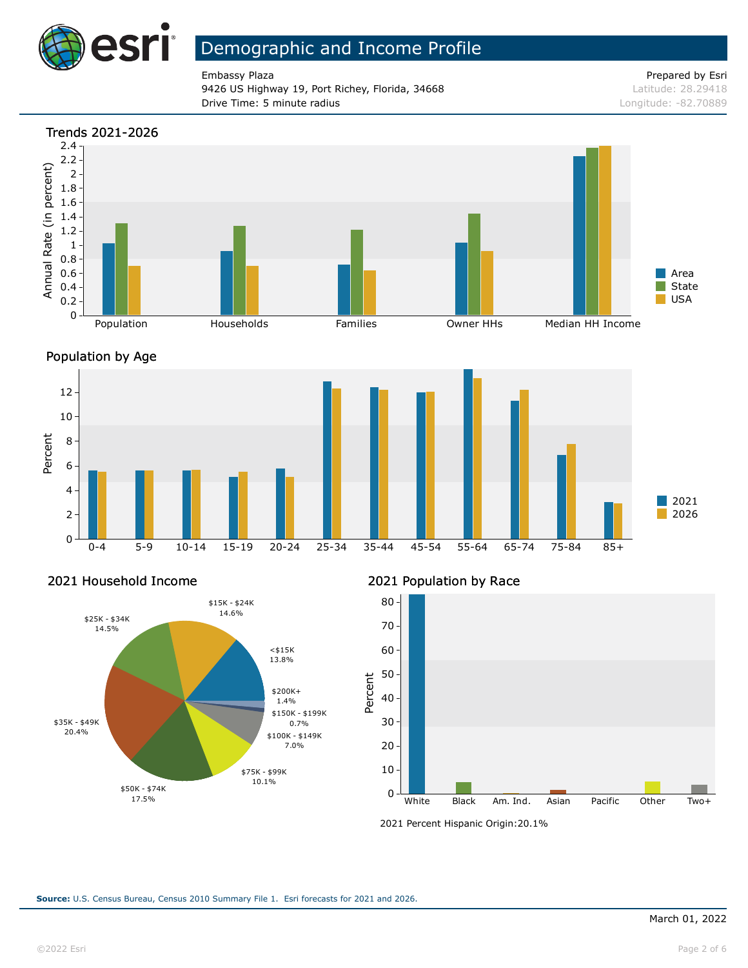

9426 US Highway 19, Port Richey, Florida, 34668 Latitude: 28.29418 **Drive Time: 5 minute radius Constanting Constanting Constanting Constanting Constanting Constanting Constanting Constanting Constanting Constanting Constanting Constanting Constanting Constanting Constanting Constanting** 

Embassy Plaza **Prepared by Esri** Prepared by Esri







#### 2021 Household Income



#### 2021 Population by Race



<sup>2021</sup> Percent Hispanic Origin: 20.1%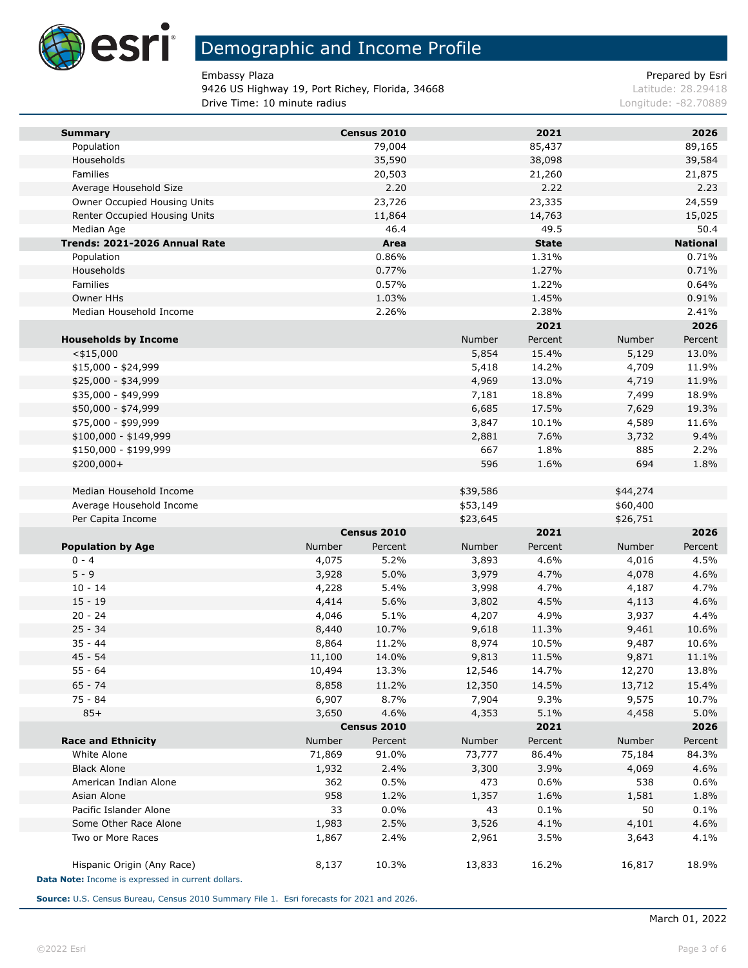

9426 US Highway 19, Port Richey, Florida, 34668 Latitude: 28.29418 **Drive Time: 10 minute radius Longitude: -82.70889 Longitude: -82.70889** 

Embassy Plaza **Prepared by Esri** Prepared by Esri

| <b>Summary</b>                                     |        | Census 2010         |          | 2021         |          | 2026            |
|----------------------------------------------------|--------|---------------------|----------|--------------|----------|-----------------|
| Population                                         |        | 79,004              |          | 85,437       |          | 89,165          |
| Households                                         |        | 35,590              |          | 38,098       |          | 39,584          |
| Families                                           |        | 20,503              |          | 21,260       |          | 21,875          |
| Average Household Size                             |        | 2.20                |          | 2.22         |          | 2.23            |
| Owner Occupied Housing Units                       |        | 23,726              |          | 23,335       |          | 24,559          |
| Renter Occupied Housing Units                      |        | 11,864              |          | 14,763       |          | 15,025          |
| Median Age                                         |        | 46.4                |          | 49.5         |          | 50.4            |
| Trends: 2021-2026 Annual Rate                      |        | Area                |          | <b>State</b> |          | <b>National</b> |
| Population                                         |        | 0.86%               |          | 1.31%        |          | 0.71%           |
| Households                                         |        | 0.77%               |          | 1.27%        |          | 0.71%           |
| Families                                           |        | 0.57%               |          | 1.22%        |          | 0.64%           |
| Owner HHs                                          |        | 1.03%               |          | 1.45%        |          | 0.91%           |
| Median Household Income                            |        | 2.26%               |          | 2.38%        |          | 2.41%           |
|                                                    |        |                     |          | 2021         |          | 2026            |
| <b>Households by Income</b>                        |        |                     | Number   | Percent      | Number   | Percent         |
| $<$ \$15,000                                       |        |                     | 5,854    | 15.4%        | 5,129    | 13.0%           |
| $$15,000 - $24,999$                                |        |                     | 5,418    | 14.2%        | 4,709    | 11.9%           |
| \$25,000 - \$34,999                                |        |                     | 4,969    | 13.0%        | 4,719    | 11.9%           |
| \$35,000 - \$49,999                                |        |                     | 7,181    | 18.8%        | 7,499    | 18.9%           |
| \$50,000 - \$74,999                                |        |                     | 6,685    | 17.5%        | 7,629    | 19.3%           |
| \$75,000 - \$99,999                                |        |                     | 3,847    | 10.1%        | 4,589    | 11.6%           |
| \$100,000 - \$149,999                              |        |                     | 2,881    | 7.6%         | 3,732    | 9.4%            |
| \$150,000 - \$199,999                              |        |                     | 667      | 1.8%         | 885      | 2.2%            |
| \$200,000+                                         |        |                     | 596      | 1.6%         | 694      | 1.8%            |
| Median Household Income                            |        |                     | \$39,586 |              | \$44,274 |                 |
| Average Household Income                           |        |                     | \$53,149 |              | \$60,400 |                 |
| Per Capita Income                                  |        |                     | \$23,645 |              | \$26,751 |                 |
|                                                    |        | Census 2010         |          | 2021         |          | 2026            |
| <b>Population by Age</b>                           | Number | Percent             | Number   | Percent      | Number   | Percent         |
| $0 - 4$                                            | 4,075  | 5.2%                | 3,893    | 4.6%         | 4,016    | 4.5%            |
| $5 - 9$                                            | 3,928  | 5.0%                | 3,979    | 4.7%         | 4,078    | 4.6%            |
| $10 - 14$                                          | 4,228  | 5.4%                | 3,998    | 4.7%         | 4,187    | 4.7%            |
| $15 - 19$                                          | 4,414  | 5.6%                | 3,802    | 4.5%         | 4,113    | 4.6%            |
| $20 - 24$                                          | 4,046  | 5.1%                | 4,207    | 4.9%         | 3,937    | 4.4%            |
| $25 - 34$                                          | 8,440  | 10.7%               | 9,618    | 11.3%        | 9,461    | 10.6%           |
| $35 - 44$<br>$45 - 54$                             | 8,864  | 11.2%               | 8,974    | 10.5%        | 9,487    | 10.6%           |
|                                                    | 11,100 | 14.0%               | 9,813    | 11.5%        | 9,871    | 11.1%           |
| 55 - 64                                            | 10,494 | 13.3%               | 12,546   | 14.7%        | 12,270   | 13.8%           |
| 65 - 74                                            | 8,858  | 11.2%               | 12,350   | 14.5%        | 13,712   | 15.4%<br>10.7%  |
| 75 - 84                                            | 6,907  | 8.7%                | 7,904    | 9.3%         | 9,575    |                 |
| $85+$                                              | 3,650  | 4.6%<br>Census 2010 | 4,353    | 5.1%<br>2021 | 4,458    | 5.0%<br>2026    |
| <b>Race and Ethnicity</b>                          | Number | Percent             | Number   | Percent      | Number   | Percent         |
| White Alone                                        | 71,869 | 91.0%               | 73,777   | 86.4%        | 75,184   | 84.3%           |
| <b>Black Alone</b>                                 | 1,932  | 2.4%                | 3,300    | 3.9%         | 4,069    | 4.6%            |
| American Indian Alone                              | 362    | 0.5%                | 473      | 0.6%         | 538      | 0.6%            |
| Asian Alone                                        | 958    | 1.2%                | 1,357    | 1.6%         | 1,581    | 1.8%            |
| Pacific Islander Alone                             | 33     | 0.0%                | 43       | 0.1%         | 50       | 0.1%            |
| Some Other Race Alone                              | 1,983  | 2.5%                | 3,526    | 4.1%         | 4,101    | 4.6%            |
| Two or More Races                                  | 1,867  | 2.4%                | 2,961    | 3.5%         | 3,643    | 4.1%            |
| Hispanic Origin (Any Race)                         | 8,137  | 10.3%               | 13,833   | 16.2%        | 16,817   | 18.9%           |
| Data Note: Income is expressed in current dollars. |        |                     |          |              |          |                 |

**Source:** U.S. Census Bureau, Census 2010 Summary File 1. Esri forecasts for 2021 and 2026.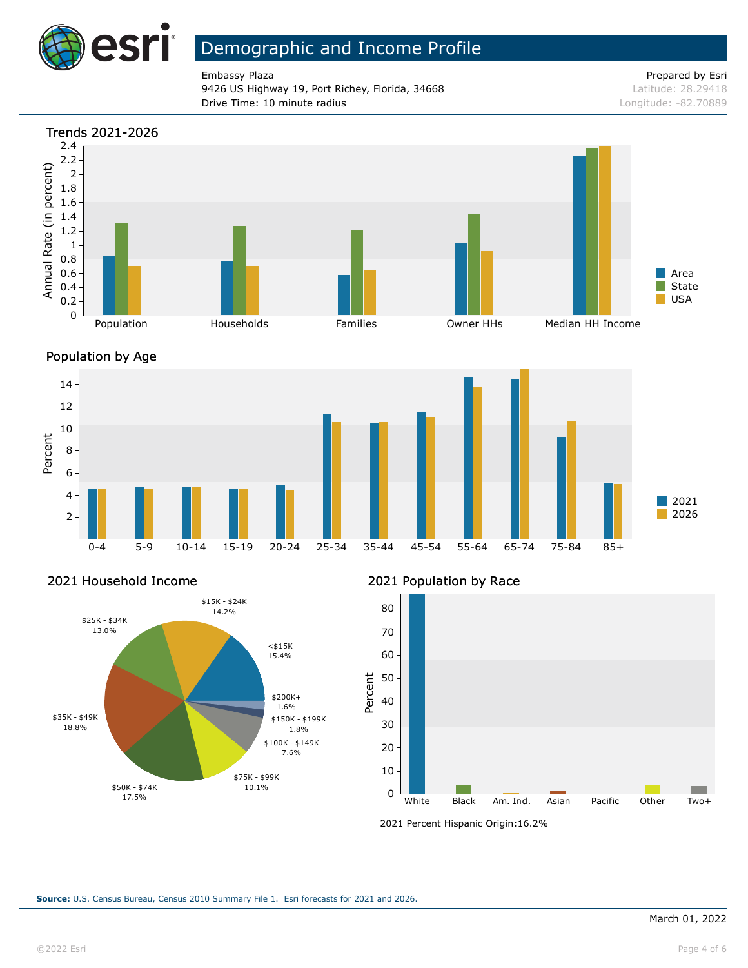

Embassy Plaza **Prepared by Esri** Prepared by Esri 9426 US Highway 19, Port Richey, Florida, 34668 Latitude: 28.29418 **Drive Time: 10 minute radius Longitude: -82.70889** 







#### 2021 Household Income



#### 2021 Population by Race



<sup>2021</sup> Percent Hispanic Origin: 16.2%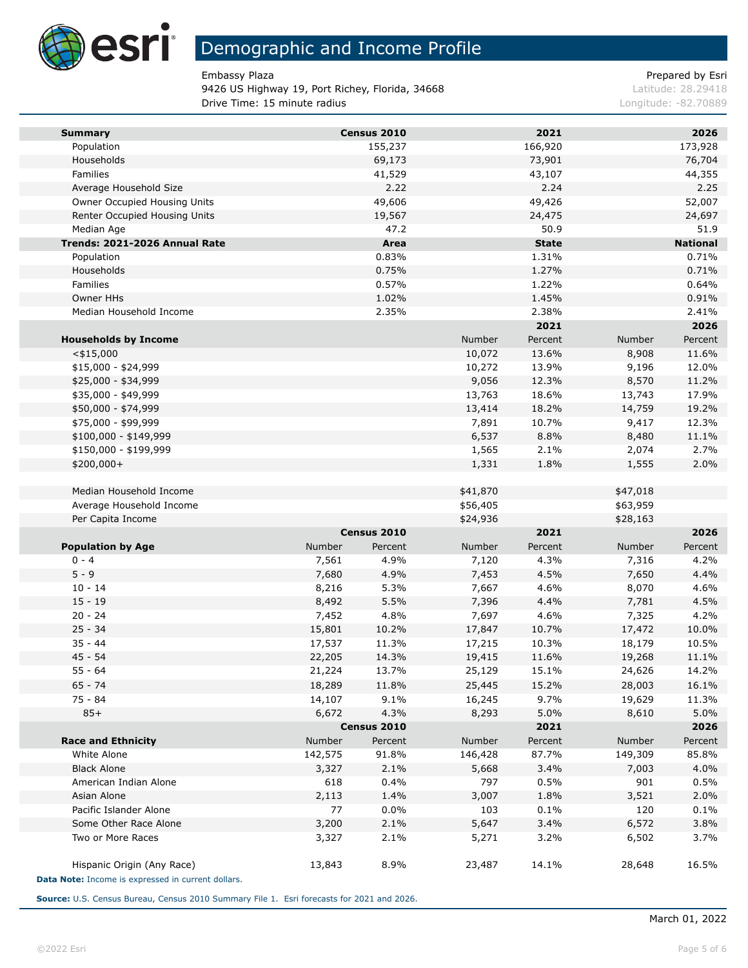

9426 US Highway 19, Port Richey, Florida, 34668 Latitude: 28.29418 **Drive Time: 15 minute radius Longitude: -82.70889 Longitude: -82.70889** 

Embassy Plaza **Prepared by Esri** Prepared by Esri

| <b>Summary</b>                                     |         | Census 2010 |          | 2021         |          | 2026            |
|----------------------------------------------------|---------|-------------|----------|--------------|----------|-----------------|
| Population                                         |         | 155,237     |          | 166,920      |          | 173,928         |
| Households                                         |         | 69,173      |          | 73,901       |          | 76,704          |
| Families                                           |         | 41,529      |          | 43,107       |          | 44,355          |
| Average Household Size                             |         | 2.22        |          | 2.24         |          | 2.25            |
| Owner Occupied Housing Units                       |         | 49,606      |          | 49,426       |          | 52,007          |
| Renter Occupied Housing Units                      |         | 19,567      |          | 24,475       |          | 24,697          |
| Median Age                                         |         | 47.2        |          | 50.9         |          | 51.9            |
| Trends: 2021-2026 Annual Rate                      |         | Area        |          | <b>State</b> |          | <b>National</b> |
| Population                                         |         | 0.83%       |          | 1.31%        |          | 0.71%           |
| Households                                         |         | 0.75%       |          | 1.27%        |          | 0.71%           |
| Families                                           |         | 0.57%       |          | 1.22%        |          | 0.64%           |
| Owner HHs                                          |         | 1.02%       |          | 1.45%        |          | 0.91%           |
| Median Household Income                            |         | 2.35%       |          | 2.38%        |          | 2.41%           |
|                                                    |         |             |          | 2021         |          | 2026            |
| <b>Households by Income</b>                        |         |             | Number   | Percent      | Number   | Percent         |
| $<$ \$15,000                                       |         |             | 10,072   | 13.6%        | 8,908    | 11.6%           |
| $$15,000 - $24,999$                                |         |             | 10,272   | 13.9%        | 9,196    | 12.0%           |
| \$25,000 - \$34,999                                |         |             | 9,056    | 12.3%        | 8,570    | 11.2%           |
| \$35,000 - \$49,999                                |         |             | 13,763   | 18.6%        | 13,743   | 17.9%           |
| \$50,000 - \$74,999                                |         |             | 13,414   | 18.2%        | 14,759   | 19.2%           |
| \$75,000 - \$99,999                                |         |             | 7,891    | 10.7%        | 9,417    | 12.3%           |
| \$100,000 - \$149,999                              |         |             | 6,537    | 8.8%         | 8,480    | 11.1%           |
| \$150,000 - \$199,999                              |         |             | 1,565    | 2.1%         | 2,074    | 2.7%            |
| $$200,000+$                                        |         |             | 1,331    | 1.8%         | 1,555    | 2.0%            |
| Median Household Income                            |         |             | \$41,870 |              | \$47,018 |                 |
| Average Household Income                           |         |             | \$56,405 |              | \$63,959 |                 |
| Per Capita Income                                  |         |             | \$24,936 |              | \$28,163 |                 |
|                                                    |         | Census 2010 |          | 2021         |          | 2026            |
| <b>Population by Age</b>                           | Number  | Percent     | Number   | Percent      | Number   | Percent         |
| $0 - 4$                                            | 7,561   | 4.9%        | 7,120    | 4.3%         | 7,316    | 4.2%            |
| $5 - 9$                                            | 7,680   | 4.9%        | 7,453    | 4.5%         | 7,650    | 4.4%            |
| $10 - 14$                                          | 8,216   | 5.3%        | 7,667    | 4.6%         | 8,070    | 4.6%            |
| $15 - 19$                                          | 8,492   | 5.5%        | 7,396    | 4.4%         | 7,781    | 4.5%            |
| $20 - 24$                                          | 7,452   | 4.8%        | 7,697    | 4.6%         | 7,325    | 4.2%            |
| $25 - 34$                                          | 15,801  | 10.2%       | 17,847   | 10.7%        | 17,472   | 10.0%           |
| $35 - 44$                                          | 17,537  | 11.3%       | 17,215   | 10.3%        | 18,179   | 10.5%           |
| $45 - 54$                                          | 22,205  | 14.3%       | 19,415   | 11.6%        | 19,268   | 11.1%           |
| 55 - 64                                            | 21,224  | 13.7%       | 25,129   | 15.1%        | 24,626   | 14.2%           |
| 65 - 74                                            | 18,289  | 11.8%       | 25,445   | 15.2%        | 28,003   | 16.1%           |
| 75 - 84                                            | 14,107  | 9.1%        | 16,245   | 9.7%         | 19,629   | 11.3%           |
| $85+$                                              | 6,672   | 4.3%        | 8,293    | 5.0%         | 8,610    | 5.0%            |
|                                                    |         | Census 2010 |          | 2021         |          | 2026            |
| <b>Race and Ethnicity</b>                          | Number  | Percent     | Number   | Percent      | Number   | Percent         |
| White Alone                                        | 142,575 | 91.8%       | 146,428  | 87.7%        | 149,309  | 85.8%           |
| <b>Black Alone</b>                                 | 3,327   | 2.1%        | 5,668    | 3.4%         | 7,003    | 4.0%            |
| American Indian Alone                              | 618     | 0.4%        | 797      | 0.5%         | 901      | 0.5%            |
| Asian Alone                                        | 2,113   | 1.4%        | 3,007    | 1.8%         | 3,521    | 2.0%            |
| Pacific Islander Alone                             | 77      | 0.0%        | 103      | 0.1%         | 120      | 0.1%            |
| Some Other Race Alone                              | 3,200   | 2.1%        | 5,647    | 3.4%         | 6,572    | 3.8%            |
| Two or More Races                                  | 3,327   | 2.1%        | 5,271    | 3.2%         | 6,502    | 3.7%            |
| Hispanic Origin (Any Race)                         | 13,843  | 8.9%        | 23,487   | 14.1%        | 28,648   | 16.5%           |
| Data Note: Income is expressed in current dollars. |         |             |          |              |          |                 |

**Source:** U.S. Census Bureau, Census 2010 Summary File 1. Esri forecasts for 2021 and 2026.